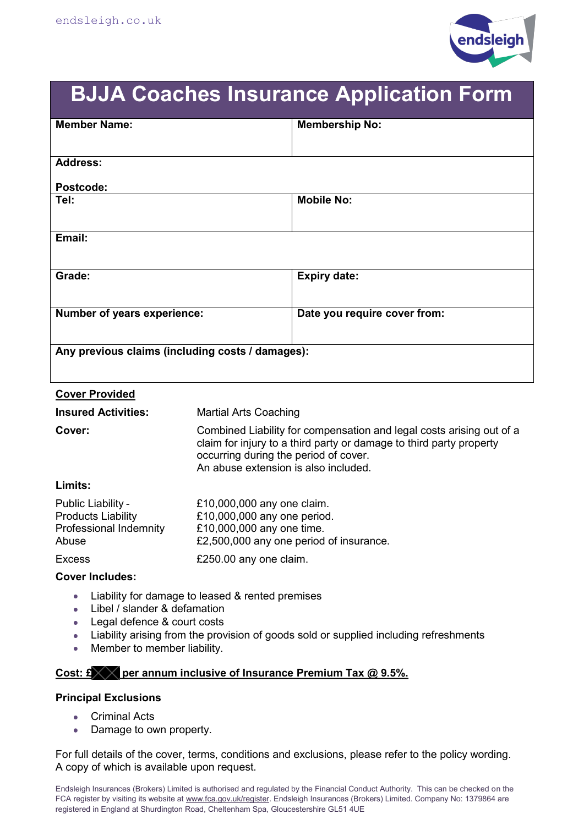

# **BJJA Coaches Insurance Application Form**

| <b>Member Name:</b>                              |                                                                                                                                                                                                                              | <b>Membership No:</b>        |  |  |
|--------------------------------------------------|------------------------------------------------------------------------------------------------------------------------------------------------------------------------------------------------------------------------------|------------------------------|--|--|
| <b>Address:</b>                                  |                                                                                                                                                                                                                              |                              |  |  |
|                                                  |                                                                                                                                                                                                                              |                              |  |  |
| Postcode:                                        |                                                                                                                                                                                                                              | <b>Mobile No:</b>            |  |  |
| Tel:                                             |                                                                                                                                                                                                                              |                              |  |  |
| Email:                                           |                                                                                                                                                                                                                              |                              |  |  |
| Grade:                                           |                                                                                                                                                                                                                              | <b>Expiry date:</b>          |  |  |
| Number of years experience:                      |                                                                                                                                                                                                                              | Date you require cover from: |  |  |
| Any previous claims (including costs / damages): |                                                                                                                                                                                                                              |                              |  |  |
| <b>Cover Provided</b>                            |                                                                                                                                                                                                                              |                              |  |  |
| <b>Insured Activities:</b>                       | <b>Martial Arts Coaching</b>                                                                                                                                                                                                 |                              |  |  |
| Cover:                                           | Combined Liability for compensation and legal costs arising out of a<br>claim for injury to a third party or damage to third party property<br>occurring during the period of cover.<br>An abuse extension is also included. |                              |  |  |
| Limits:                                          |                                                                                                                                                                                                                              |                              |  |  |
| Public Liability -<br>Droducte Liability         | £10,000,000 any one claim.<br>£10.000.000 any ang pariad                                                                                                                                                                     |                              |  |  |

| PUDIIC LIADIIIIV -        | t to,000,000 any one claim.             |
|---------------------------|-----------------------------------------|
| <b>Products Liability</b> | £10,000,000 any one period.             |
| Professional Indemnity    | £10,000,000 any one time.               |
| Abuse                     | £2,500,000 any one period of insurance. |
| <b>Excess</b>             | £250.00 any one claim.                  |

### **Cover Includes:**

- Liability for damage to leased & rented premises  $\bullet$  .
- Libel / slander & defamation  $\bullet$  .
- Legal defence & court costs  $\bullet$  .
- Liability arising from the provision of goods sold or supplied including refreshments  $\bullet$
- $\bullet$ Member to member liability.

## Cost: £ **produce** per annum inclusive of Insurance Premium Tax @ 9.5%.

### **Principal Exclusions**

- $\overline{\phantom{a}}$ Criminal Acts
- $\bullet$ Damage to own property.

For full details of the cover, terms, conditions and exclusions, please refer to the policy wording. A copy of which is available upon request.

Endsleigh Insurances (Brokers) Limited is authorised and regulated by the Financial Conduct Authority. This can be checked on the FCA register by visiting its website at www.fca.gov.uk/register. Endsleigh Insurances (Brokers) Limited. Company No: 1379864 are registered in England at Shurdington Road, Cheltenham Spa, Gloucestershire GL51 4UE